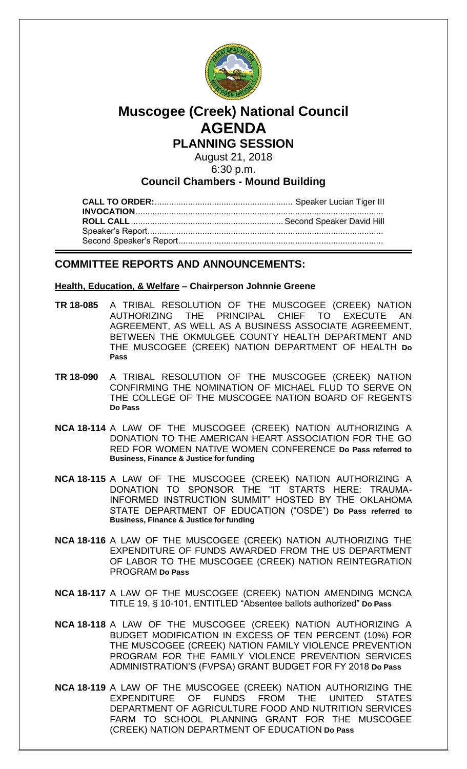

# **Muscogee (Creek) National Council AGENDA**

**PLANNING SESSION**

August 21, 2018 6:30 p.m.

**Council Chambers - Mound Building**

## **COMMITTEE REPORTS AND ANNOUNCEMENTS:**

## **Health, Education, & Welfare – Chairperson Johnnie Greene**

- **TR 18-085** A TRIBAL RESOLUTION OF THE MUSCOGEE (CREEK) NATION AUTHORIZING THE PRINCIPAL CHIEF TO EXECUTE AN AGREEMENT, AS WELL AS A BUSINESS ASSOCIATE AGREEMENT, BETWEEN THE OKMULGEE COUNTY HEALTH DEPARTMENT AND THE MUSCOGEE (CREEK) NATION DEPARTMENT OF HEALTH **Do Pass**
- **TR 18-090** A TRIBAL RESOLUTION OF THE MUSCOGEE (CREEK) NATION CONFIRMING THE NOMINATION OF MICHAEL FLUD TO SERVE ON THE COLLEGE OF THE MUSCOGEE NATION BOARD OF REGENTS **Do Pass**
- **NCA 18-114** A LAW OF THE MUSCOGEE (CREEK) NATION AUTHORIZING A DONATION TO THE AMERICAN HEART ASSOCIATION FOR THE GO RED FOR WOMEN NATIVE WOMEN CONFERENCE **Do Pass referred to Business, Finance & Justice for funding**
- **NCA 18-115** A LAW OF THE MUSCOGEE (CREEK) NATION AUTHORIZING A DONATION TO SPONSOR THE "IT STARTS HERE: TRAUMA-INFORMED INSTRUCTION SUMMIT" HOSTED BY THE OKLAHOMA STATE DEPARTMENT OF EDUCATION ("OSDE") **Do Pass referred to Business, Finance & Justice for funding**
- **NCA 18-116** A LAW OF THE MUSCOGEE (CREEK) NATION AUTHORIZING THE EXPENDITURE OF FUNDS AWARDED FROM THE US DEPARTMENT OF LABOR TO THE MUSCOGEE (CREEK) NATION REINTEGRATION PROGRAM **Do Pass**
- **NCA 18-117** A LAW OF THE MUSCOGEE (CREEK) NATION AMENDING MCNCA TITLE 19, § 10-101, ENTITLED "Absentee ballots authorized" **Do Pass**
- **NCA 18-118** A LAW OF THE MUSCOGEE (CREEK) NATION AUTHORIZING A BUDGET MODIFICATION IN EXCESS OF TEN PERCENT (10%) FOR THE MUSCOGEE (CREEK) NATION FAMILY VIOLENCE PREVENTION PROGRAM FOR THE FAMILY VIOLENCE PREVENTION SERVICES ADMINISTRATION'S (FVPSA) GRANT BUDGET FOR FY 2018 **Do Pass**
- **NCA 18-119** A LAW OF THE MUSCOGEE (CREEK) NATION AUTHORIZING THE EXPENDITURE OF FUNDS FROM THE UNITED STATES DEPARTMENT OF AGRICULTURE FOOD AND NUTRITION SERVICES FARM TO SCHOOL PLANNING GRANT FOR THE MUSCOGEE (CREEK) NATION DEPARTMENT OF EDUCATION **Do Pass**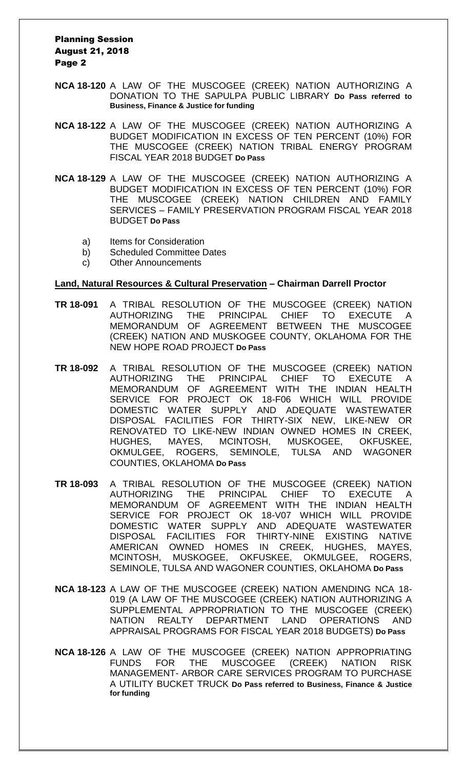#### Planning Session August 21, 2018 Page 2

- **NCA 18-120** A LAW OF THE MUSCOGEE (CREEK) NATION AUTHORIZING A DONATION TO THE SAPULPA PUBLIC LIBRARY **Do Pass referred to Business, Finance & Justice for funding**
- **NCA 18-122** A LAW OF THE MUSCOGEE (CREEK) NATION AUTHORIZING A BUDGET MODIFICATION IN EXCESS OF TEN PERCENT (10%) FOR THE MUSCOGEE (CREEK) NATION TRIBAL ENERGY PROGRAM FISCAL YEAR 2018 BUDGET **Do Pass**
- **NCA 18-129** A LAW OF THE MUSCOGEE (CREEK) NATION AUTHORIZING A BUDGET MODIFICATION IN EXCESS OF TEN PERCENT (10%) FOR THE MUSCOGEE (CREEK) NATION CHILDREN AND FAMILY SERVICES – FAMILY PRESERVATION PROGRAM FISCAL YEAR 2018 BUDGET **Do Pass**
	- a) Items for Consideration
	- b) Scheduled Committee Dates
	- c) Other Announcements

#### **Land, Natural Resources & Cultural Preservation – Chairman Darrell Proctor**

- **TR 18-091** A TRIBAL RESOLUTION OF THE MUSCOGEE (CREEK) NATION AUTHORIZING THE PRINCIPAL CHIEF TO EXECUTE A MEMORANDUM OF AGREEMENT BETWEEN THE MUSCOGEE (CREEK) NATION AND MUSKOGEE COUNTY, OKLAHOMA FOR THE NEW HOPE ROAD PROJECT **Do Pass**
- **TR 18-092** A TRIBAL RESOLUTION OF THE MUSCOGEE (CREEK) NATION AUTHORIZING THE PRINCIPAL CHIEF TO EXECUTE A MEMORANDUM OF AGREEMENT WITH THE INDIAN HEALTH SERVICE FOR PROJECT OK 18-F06 WHICH WILL PROVIDE DOMESTIC WATER SUPPLY AND ADEQUATE WASTEWATER DISPOSAL FACILITIES FOR THIRTY-SIX NEW, LIKE-NEW OR RENOVATED TO LIKE-NEW INDIAN OWNED HOMES IN CREEK, HUGHES, MAYES, MCINTOSH, MUSKOGEE, OKFUSKEE, OKMULGEE, ROGERS, SEMINOLE, TULSA AND WAGONER COUNTIES, OKLAHOMA **Do Pass**
- **TR 18-093** A TRIBAL RESOLUTION OF THE MUSCOGEE (CREEK) NATION AUTHORIZING THE PRINCIPAL CHIEF TO EXECUTE A MEMORANDUM OF AGREEMENT WITH THE INDIAN HEALTH SERVICE FOR PROJECT OK 18-V07 WHICH WILL PROVIDE DOMESTIC WATER SUPPLY AND ADEQUATE WASTEWATER DISPOSAL FACILITIES FOR THIRTY-NINE EXISTING NATIVE AMERICAN OWNED HOMES IN CREEK, HUGHES, MAYES, MCINTOSH, MUSKOGEE, OKFUSKEE, OKMULGEE, ROGERS, SEMINOLE, TULSA AND WAGONER COUNTIES, OKLAHOMA **Do Pass**
- **NCA 18-123** A LAW OF THE MUSCOGEE (CREEK) NATION AMENDING NCA 18- 019 (A LAW OF THE MUSCOGEE (CREEK) NATION AUTHORIZING A SUPPLEMENTAL APPROPRIATION TO THE MUSCOGEE (CREEK) NATION REALTY DEPARTMENT LAND OPERATIONS AND APPRAISAL PROGRAMS FOR FISCAL YEAR 2018 BUDGETS) **Do Pass**
- **NCA 18-126** A LAW OF THE MUSCOGEE (CREEK) NATION APPROPRIATING FUNDS FOR THE MUSCOGEE (CREEK) NATION RISK MANAGEMENT- ARBOR CARE SERVICES PROGRAM TO PURCHASE A UTILITY BUCKET TRUCK **Do Pass referred to Business, Finance & Justice for funding**